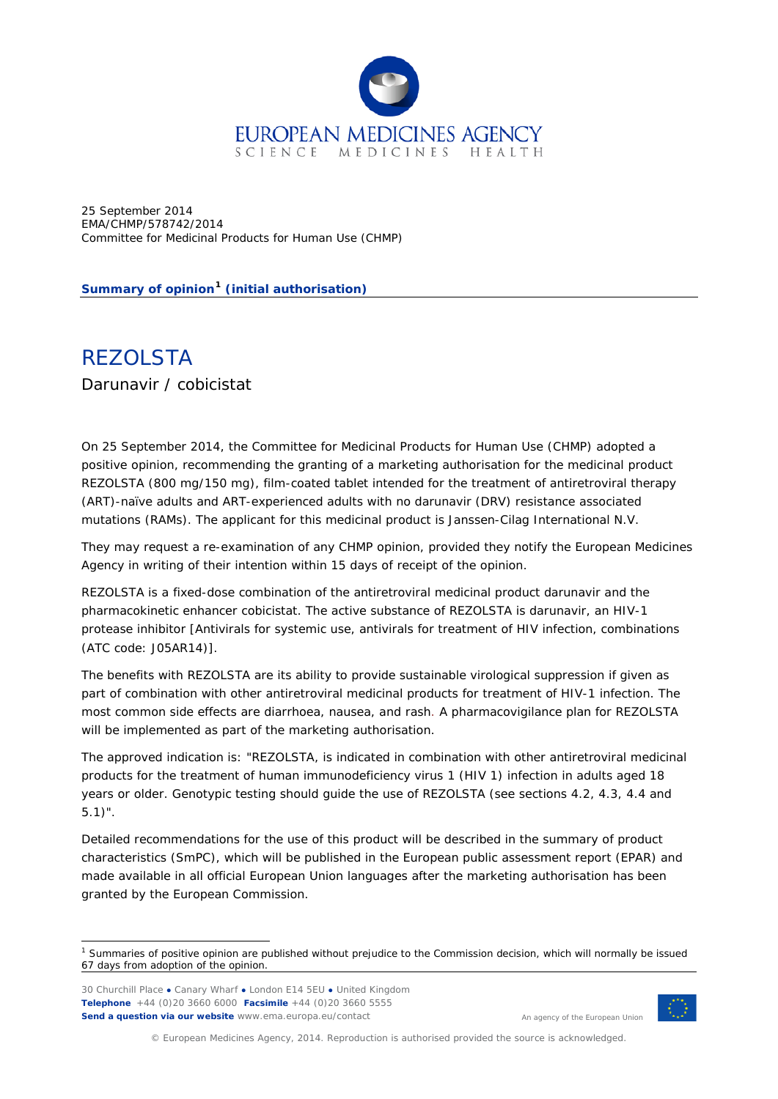

25 September 2014 EMA/CHMP/578742/2014 Committee for Medicinal Products for Human Use (CHMP)

**Summary of opinion[1](#page-0-0) (initial authorisation)**

REZOLSTA Darunavir / cobicistat

On 25 September 2014, the Committee for Medicinal Products for Human Use (CHMP) adopted a positive opinion, recommending the granting of a marketing authorisation for the medicinal product REZOLSTA (800 mg/150 mg), film-coated tablet intended for the treatment of antiretroviral therapy (ART)-naïve adults and ART-experienced adults with no darunavir (DRV) resistance associated mutations (RAMs). The applicant for this medicinal product is Janssen-Cilag International N.V.

They may request a re-examination of any CHMP opinion, provided they notify the European Medicines Agency in writing of their intention within 15 days of receipt of the opinion.

REZOLSTA is a fixed-dose combination of the antiretroviral medicinal product darunavir and the pharmacokinetic enhancer cobicistat. The active substance of REZOLSTA is darunavir, an HIV-1 protease inhibitor [Antivirals for systemic use, antivirals for treatment of HIV infection, combinations (ATC code: J05AR14)].

The benefits with REZOLSTA are its ability to provide sustainable virological suppression if given as part of combination with other antiretroviral medicinal products for treatment of HIV-1 infection. The most common side effects are diarrhoea, nausea, and rash. A pharmacovigilance plan for REZOLSTA will be implemented as part of the marketing authorisation.

The approved indication is: "REZOLSTA, is indicated in combination with other antiretroviral medicinal products for the treatment of human immunodeficiency virus 1 (HIV 1) infection in adults aged 18 years or older. Genotypic testing should guide the use of REZOLSTA (see sections 4.2, 4.3, 4.4 and 5.1)".

Detailed recommendations for the use of this product will be described in the summary of product characteristics (SmPC), which will be published in the European public assessment report (EPAR) and made available in all official European Union languages after the marketing authorisation has been granted by the European Commission.



An agency of the European Union

© European Medicines Agency, 2014. Reproduction is authorised provided the source is acknowledged.

<span id="page-0-0"></span> $1$  Summaries of positive opinion are published without prejudice to the Commission decision, which will normally be issued 67 days from adoption of the opinion.

<sup>30</sup> Churchill Place **●** Canary Wharf **●** London E14 5EU **●** United Kingdom **Telephone** +44 (0)20 3660 6000 **Facsimile** +44 (0)20 3660 5555 **Send a question via our website** www.ema.europa.eu/contact